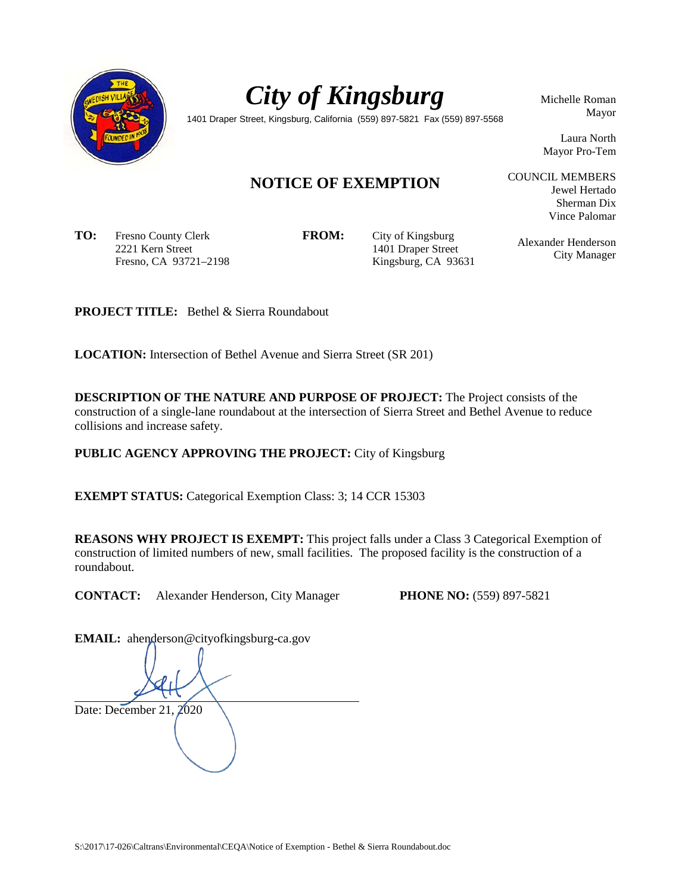



Michelle Roman Mayor

1401 Draper Street, Kingsburg, California (559) 897-5821 Fax (559) 897-5568

Laura North Mayor Pro-Tem

Jewel Hertado Sherman Dix Vince Palomar

# **NOTICE OF EXEMPTION**

**TO:** Fresno County Clerk 2221 Kern Street Fresno, CA 93721–2198

**FROM:** City of Kingsburg 1401 Draper Street Kingsburg, CA 93631 Alexander Henderson City Manager

COUNCIL MEMBERS

**PROJECT TITLE:** Bethel & Sierra Roundabout

**LOCATION:** Intersection of Bethel Avenue and Sierra Street (SR 201)

**DESCRIPTION OF THE NATURE AND PURPOSE OF PROJECT:** The Project consists of the construction of a single-lane roundabout at the intersection of Sierra Street and Bethel Avenue to reduce collisions and increase safety.

**PUBLIC AGENCY APPROVING THE PROJECT:** City of Kingsburg

**EXEMPT STATUS:** Categorical Exemption Class: 3; 14 CCR 15303

**REASONS WHY PROJECT IS EXEMPT:** This project falls under a Class 3 Categorical Exemption of construction of limited numbers of new, small facilities. The proposed facility is the construction of a roundabout.

**CONTACT:** Alexander Henderson, City Manager **PHONE NO:** (559) 897-5821

EMAIL: ahenderson@cityofkingsburg-ca.gov

Date: December 21, 2020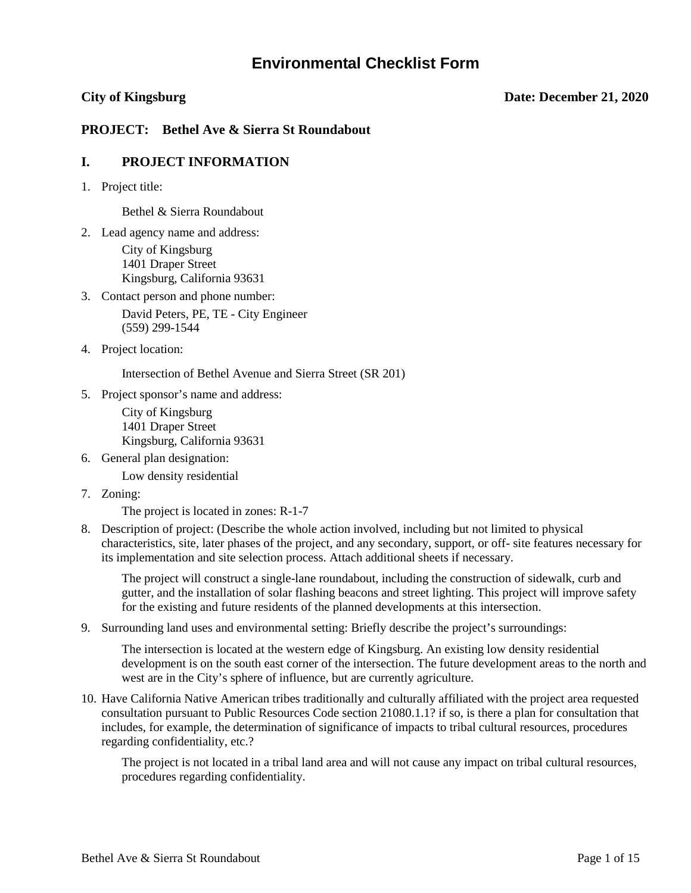# **Environmental Checklist Form**

#### **City of Kingsburg Date: December 21, 2020**

### **PROJECT: Bethel Ave & Sierra St Roundabout**

#### **I. PROJECT INFORMATION**

1. Project title:

Bethel & Sierra Roundabout

2. Lead agency name and address: City of Kingsburg

1401 Draper Street Kingsburg, California 93631

3. Contact person and phone number:

David Peters, PE, TE - City Engineer (559) 299-1544

4. Project location:

Intersection of Bethel Avenue and Sierra Street (SR 201)

5. Project sponsor's name and address:

City of Kingsburg 1401 Draper Street Kingsburg, California 93631

- 6. General plan designation: Low density residential
- 7. Zoning:

The project is located in zones: R-1-7

8. Description of project: (Describe the whole action involved, including but not limited to physical characteristics, site, later phases of the project, and any secondary, support, or off- site features necessary for its implementation and site selection process. Attach additional sheets if necessary.

The project will construct a single-lane roundabout, including the construction of sidewalk, curb and gutter, and the installation of solar flashing beacons and street lighting. This project will improve safety for the existing and future residents of the planned developments at this intersection.

9. Surrounding land uses and environmental setting: Briefly describe the project's surroundings:

The intersection is located at the western edge of Kingsburg. An existing low density residential development is on the south east corner of the intersection. The future development areas to the north and west are in the City's sphere of influence, but are currently agriculture.

10. Have California Native American tribes traditionally and culturally affiliated with the project area requested consultation pursuant to Public Resources Code section 21080.1.1? if so, is there a plan for consultation that includes, for example, the determination of significance of impacts to tribal cultural resources, procedures regarding confidentiality, etc.?

The project is not located in a tribal land area and will not cause any impact on tribal cultural resources, procedures regarding confidentiality.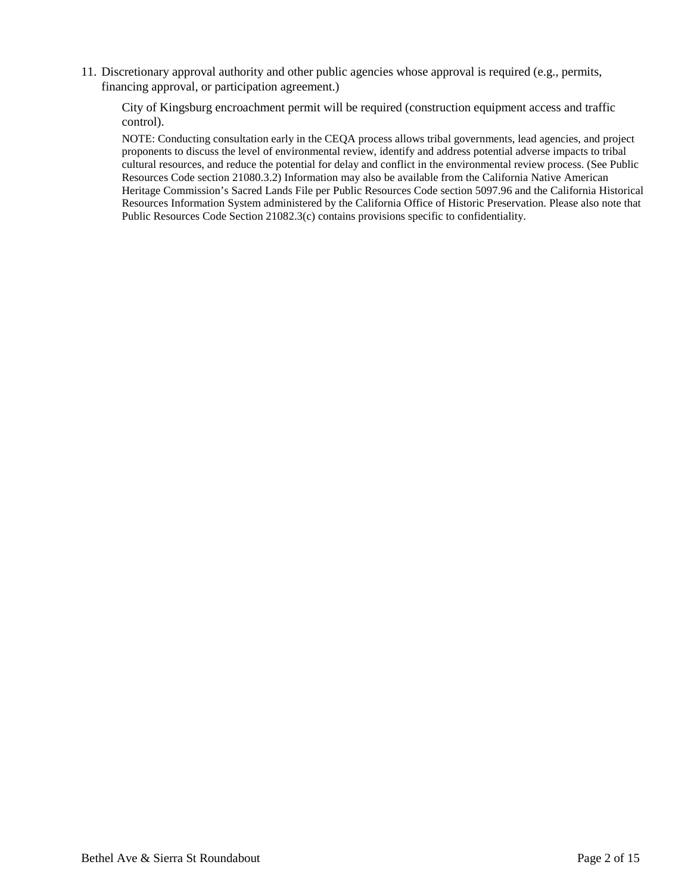11. Discretionary approval authority and other public agencies whose approval is required (e.g., permits, financing approval, or participation agreement.)

City of Kingsburg encroachment permit will be required (construction equipment access and traffic control).

NOTE: Conducting consultation early in the CEQA process allows tribal governments, lead agencies, and project proponents to discuss the level of environmental review, identify and address potential adverse impacts to tribal cultural resources, and reduce the potential for delay and conflict in the environmental review process. (See Public Resources Code section 21080.3.2) Information may also be available from the California Native American Heritage Commission's Sacred Lands File per Public Resources Code section 5097.96 and the California Historical Resources Information System administered by the California Office of Historic Preservation. Please also note that Public Resources Code Section 21082.3(c) contains provisions specific to confidentiality.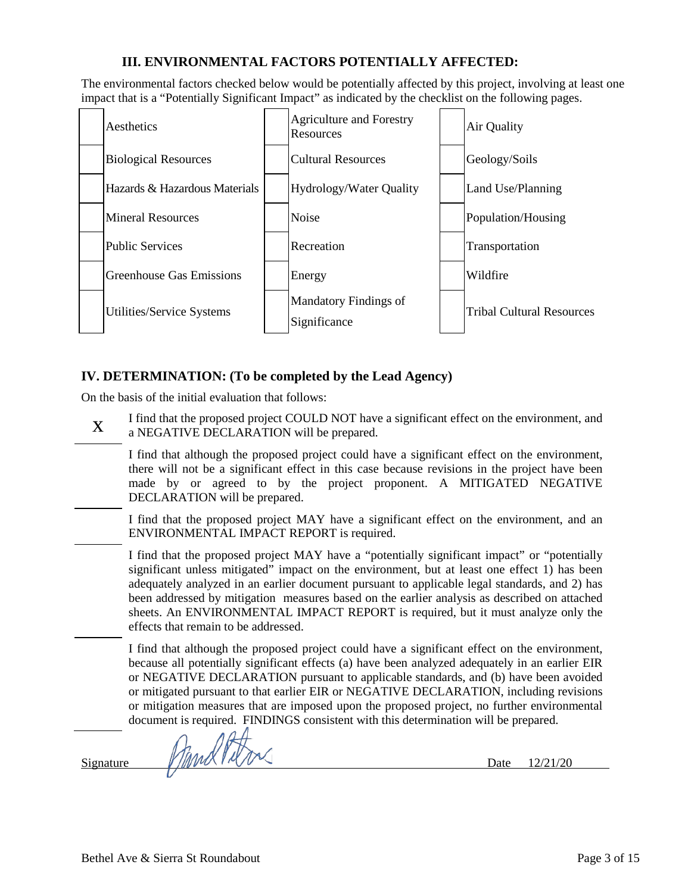# **III. ENVIRONMENTAL FACTORS POTENTIALLY AFFECTED:**

The environmental factors checked below would be potentially affected by this project, involving at least one impact that is a "Potentially Significant Impact" as indicated by the checklist on the following pages.



## **IV. DETERMINATION: (To be completed by the Lead Agency)**

On the basis of the initial evaluation that follows:

I find that the proposed project COULD NOT have a significant effect on the environment, and<br>  $X = e^{NEC A T W E DEC I A D A T I Q N}$ a NEGATIVE DECLARATION will be prepared.

I find that although the proposed project could have a significant effect on the environment, there will not be a significant effect in this case because revisions in the project have been made by or agreed to by the project proponent. A MITIGATED NEGATIVE DECLARATION will be prepared.

I find that the proposed project MAY have a significant effect on the environment, and an ENVIRONMENTAL IMPACT REPORT is required.

I find that the proposed project MAY have a "potentially significant impact" or "potentially significant unless mitigated" impact on the environment, but at least one effect 1) has been adequately analyzed in an earlier document pursuant to applicable legal standards, and 2) has been addressed by mitigation measures based on the earlier analysis as described on attached sheets. An ENVIRONMENTAL IMPACT REPORT is required, but it must analyze only the effects that remain to be addressed.

I find that although the proposed project could have a significant effect on the environment, because all potentially significant effects (a) have been analyzed adequately in an earlier EIR or NEGATIVE DECLARATION pursuant to applicable standards, and (b) have been avoided or mitigated pursuant to that earlier EIR or NEGATIVE DECLARATION, including revisions or mitigation measures that are imposed upon the proposed project, no further environmental document is required. FINDINGS consistent with this determination will be prepared.

 $Signature$  MuMUNIV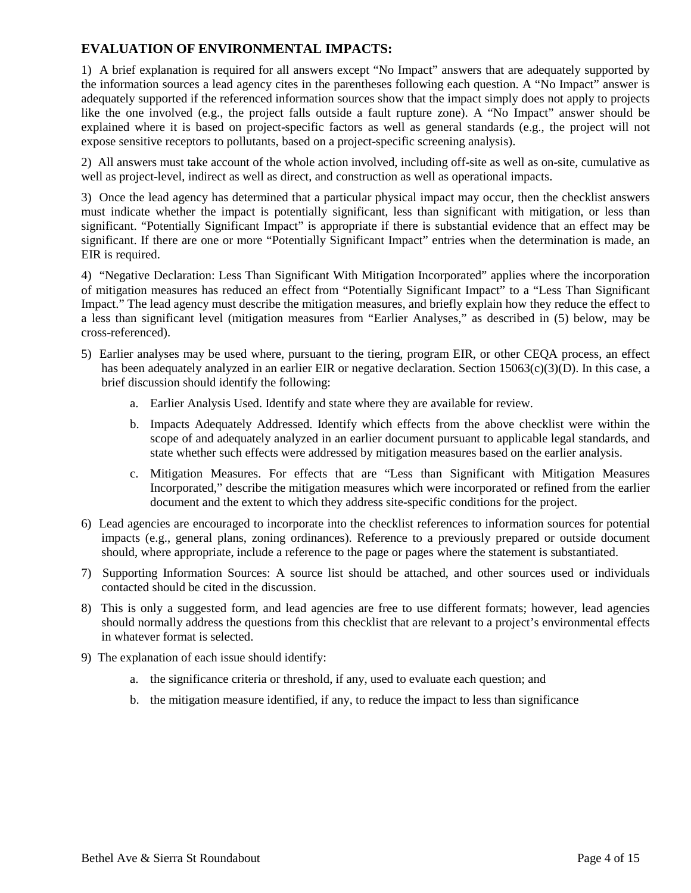## **EVALUATION OF ENVIRONMENTAL IMPACTS:**

1) A brief explanation is required for all answers except "No Impact" answers that are adequately supported by the information sources a lead agency cites in the parentheses following each question. A "No Impact" answer is adequately supported if the referenced information sources show that the impact simply does not apply to projects like the one involved (e.g., the project falls outside a fault rupture zone). A "No Impact" answer should be explained where it is based on project-specific factors as well as general standards (e.g., the project will not expose sensitive receptors to pollutants, based on a project-specific screening analysis).

2) All answers must take account of the whole action involved, including off-site as well as on-site, cumulative as well as project-level, indirect as well as direct, and construction as well as operational impacts.

3) Once the lead agency has determined that a particular physical impact may occur, then the checklist answers must indicate whether the impact is potentially significant, less than significant with mitigation, or less than significant. "Potentially Significant Impact" is appropriate if there is substantial evidence that an effect may be significant. If there are one or more "Potentially Significant Impact" entries when the determination is made, an EIR is required.

4) "Negative Declaration: Less Than Significant With Mitigation Incorporated" applies where the incorporation of mitigation measures has reduced an effect from "Potentially Significant Impact" to a "Less Than Significant Impact." The lead agency must describe the mitigation measures, and briefly explain how they reduce the effect to a less than significant level (mitigation measures from "Earlier Analyses," as described in (5) below, may be cross-referenced).

- 5) Earlier analyses may be used where, pursuant to the tiering, program EIR, or other CEQA process, an effect has been adequately analyzed in an earlier EIR or negative declaration. Section 15063(c)(3)(D). In this case, a brief discussion should identify the following:
	- a. Earlier Analysis Used. Identify and state where they are available for review.
	- b. Impacts Adequately Addressed. Identify which effects from the above checklist were within the scope of and adequately analyzed in an earlier document pursuant to applicable legal standards, and state whether such effects were addressed by mitigation measures based on the earlier analysis.
	- c. Mitigation Measures. For effects that are "Less than Significant with Mitigation Measures Incorporated," describe the mitigation measures which were incorporated or refined from the earlier document and the extent to which they address site-specific conditions for the project.
- 6) Lead agencies are encouraged to incorporate into the checklist references to information sources for potential impacts (e.g., general plans, zoning ordinances). Reference to a previously prepared or outside document should, where appropriate, include a reference to the page or pages where the statement is substantiated.
- 7) Supporting Information Sources: A source list should be attached, and other sources used or individuals contacted should be cited in the discussion.
- 8) This is only a suggested form, and lead agencies are free to use different formats; however, lead agencies should normally address the questions from this checklist that are relevant to a project's environmental effects in whatever format is selected.
- 9) The explanation of each issue should identify:
	- a. the significance criteria or threshold, if any, used to evaluate each question; and
	- b. the mitigation measure identified, if any, to reduce the impact to less than significance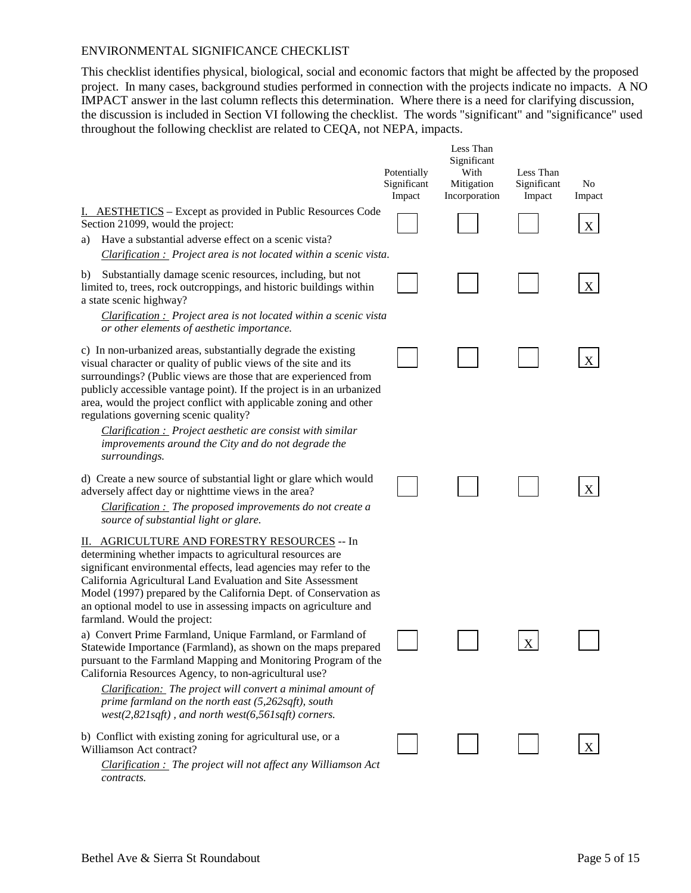#### ENVIRONMENTAL SIGNIFICANCE CHECKLIST

This checklist identifies physical, biological, social and economic factors that might be affected by the proposed project. In many cases, background studies performed in connection with the projects indicate no impacts. A NO IMPACT answer in the last column reflects this determination. Where there is a need for clarifying discussion, the discussion is included in Section VI following the checklist. The words "significant" and "significance" used throughout the following checklist are related to CEQA, not NEPA, impacts.

|                                                                                                                                                                                                                                                                                                                                                                                                                                                                                                                                  | Potentially<br>Significant<br>Impact | Less Than<br>Significant<br>With<br>Mitigation<br>Incorporation | Less Than<br>Significant<br>Impact | No<br>Impact |
|----------------------------------------------------------------------------------------------------------------------------------------------------------------------------------------------------------------------------------------------------------------------------------------------------------------------------------------------------------------------------------------------------------------------------------------------------------------------------------------------------------------------------------|--------------------------------------|-----------------------------------------------------------------|------------------------------------|--------------|
| I. AESTHETICS – Except as provided in Public Resources Code<br>Section 21099, would the project:<br>Have a substantial adverse effect on a scenic vista?<br>a)<br>Clarification : Project area is not located within a scenic vista.                                                                                                                                                                                                                                                                                             |                                      |                                                                 |                                    | X            |
| Substantially damage scenic resources, including, but not<br>b)<br>limited to, trees, rock outcroppings, and historic buildings within<br>a state scenic highway?<br><b>Clarification :</b> Project area is not located within a scenic vista<br>or other elements of aesthetic importance.                                                                                                                                                                                                                                      |                                      |                                                                 |                                    | X            |
| c) In non-urbanized areas, substantially degrade the existing<br>visual character or quality of public views of the site and its<br>surroundings? (Public views are those that are experienced from<br>publicly accessible vantage point). If the project is in an urbanized<br>area, would the project conflict with applicable zoning and other<br>regulations governing scenic quality?<br>Clarification : Project aesthetic are consist with similar<br>improvements around the City and do not degrade the<br>surroundings. |                                      |                                                                 |                                    | X            |
| d) Create a new source of substantial light or glare which would<br>adversely affect day or nighttime views in the area?<br>$Clarification:$ The proposed improvements do not create a<br>source of substantial light or glare.                                                                                                                                                                                                                                                                                                  |                                      |                                                                 |                                    | Х            |
| II. AGRICULTURE AND FORESTRY RESOURCES -- In<br>determining whether impacts to agricultural resources are<br>significant environmental effects, lead agencies may refer to the<br>California Agricultural Land Evaluation and Site Assessment<br>Model (1997) prepared by the California Dept. of Conservation as<br>an optional model to use in assessing impacts on agriculture and<br>farmland. Would the project:                                                                                                            |                                      |                                                                 |                                    |              |
| a) Convert Prime Farmland, Unique Farmland, or Farmland of<br>Statewide Importance (Farmland), as shown on the maps prepared<br>pursuant to the Farmland Mapping and Monitoring Program of the<br>California Resources Agency, to non-agricultural use?<br>Clarification: The project will convert a minimal amount of<br>prime farmland on the north east $(5,262\text{sqrt}t)$ , south<br>$west(2,821sqft)$ , and north west(6,561sqft) corners.                                                                               |                                      |                                                                 | $\mathbf X$                        |              |
| b) Conflict with existing zoning for agricultural use, or a<br>Williamson Act contract?                                                                                                                                                                                                                                                                                                                                                                                                                                          |                                      |                                                                 |                                    | X            |

*Clarification : The project will not affect any Williamson Act contracts.*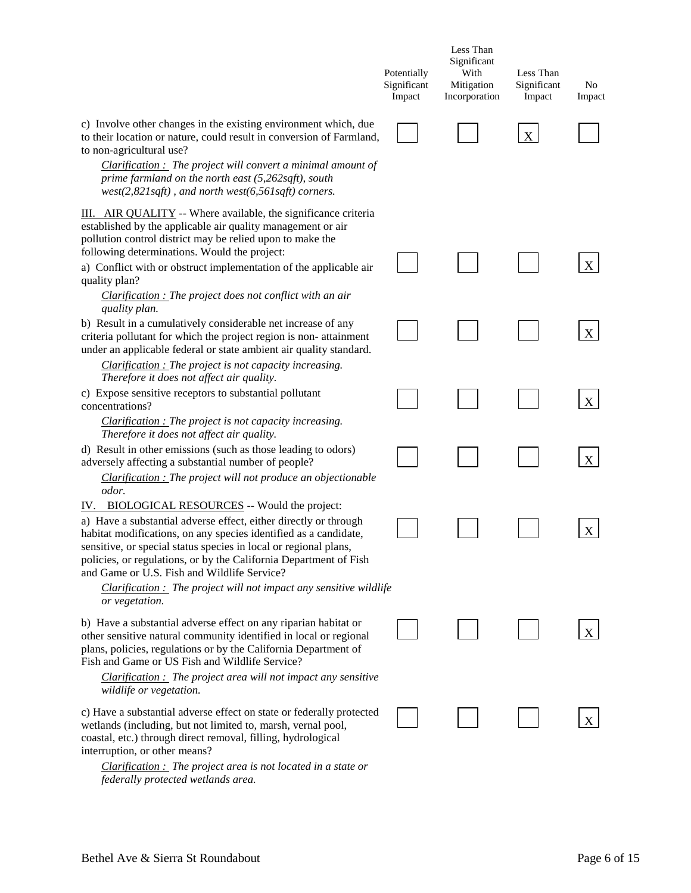|                                                                                                                                                                                                                                                                                                                                                                                                                                                                          | Potentially<br>Significant<br>Impact | Less Than<br>Significant<br>With<br>Mitigation<br>Incorporation | Less Than<br>Significant<br>Impact | No<br>Impact |
|--------------------------------------------------------------------------------------------------------------------------------------------------------------------------------------------------------------------------------------------------------------------------------------------------------------------------------------------------------------------------------------------------------------------------------------------------------------------------|--------------------------------------|-----------------------------------------------------------------|------------------------------------|--------------|
| c) Involve other changes in the existing environment which, due<br>to their location or nature, could result in conversion of Farmland,<br>to non-agricultural use?<br><i>Clarification</i> : The project will convert a minimal amount of<br>prime farmland on the north east (5,262sqft), south<br>$west(2,821sqft)$ , and north west(6,561sqft) corners.                                                                                                              |                                      |                                                                 | $\boldsymbol{\mathrm{X}}$          |              |
| III. AIR QUALITY -- Where available, the significance criteria<br>established by the applicable air quality management or air<br>pollution control district may be relied upon to make the<br>following determinations. Would the project:<br>a) Conflict with or obstruct implementation of the applicable air<br>quality plan?<br><b>Clarification</b> : The project does not conflict with an air                                                                     |                                      |                                                                 |                                    | X            |
| quality plan.<br>b) Result in a cumulatively considerable net increase of any<br>criteria pollutant for which the project region is non-attainment<br>under an applicable federal or state ambient air quality standard.                                                                                                                                                                                                                                                 |                                      |                                                                 |                                    | X            |
| Clarification : The project is not capacity increasing.<br>Therefore it does not affect air quality.<br>c) Expose sensitive receptors to substantial pollutant<br>concentrations?<br>Clarification : The project is not capacity increasing.                                                                                                                                                                                                                             |                                      |                                                                 |                                    | X            |
| Therefore it does not affect air quality.<br>d) Result in other emissions (such as those leading to odors)<br>adversely affecting a substantial number of people?<br>Clarification : The project will not produce an objectionable                                                                                                                                                                                                                                       |                                      |                                                                 |                                    | X            |
| odor.<br><b>BIOLOGICAL RESOURCES</b> -- Would the project:<br>IV.<br>a) Have a substantial adverse effect, either directly or through<br>habitat modifications, on any species identified as a candidate,<br>sensitive, or special status species in local or regional plans,<br>policies, or regulations, or by the California Department of Fish<br>and Game or U.S. Fish and Wildlife Service?<br>$Clarification:$ The project will not impact any sensitive wildlife |                                      |                                                                 |                                    | X            |
| or vegetation.<br>b) Have a substantial adverse effect on any riparian habitat or<br>other sensitive natural community identified in local or regional<br>plans, policies, regulations or by the California Department of<br>Fish and Game or US Fish and Wildlife Service?<br>$Clarification:$ The project area will not impact any sensitive<br>wildlife or vegetation.                                                                                                |                                      |                                                                 |                                    |              |
| c) Have a substantial adverse effect on state or federally protected<br>wetlands (including, but not limited to, marsh, vernal pool,<br>coastal, etc.) through direct removal, filling, hydrological<br>interruption, or other means?                                                                                                                                                                                                                                    |                                      |                                                                 |                                    |              |

*Clarification : The project area is not located in a state or federally protected wetlands area.*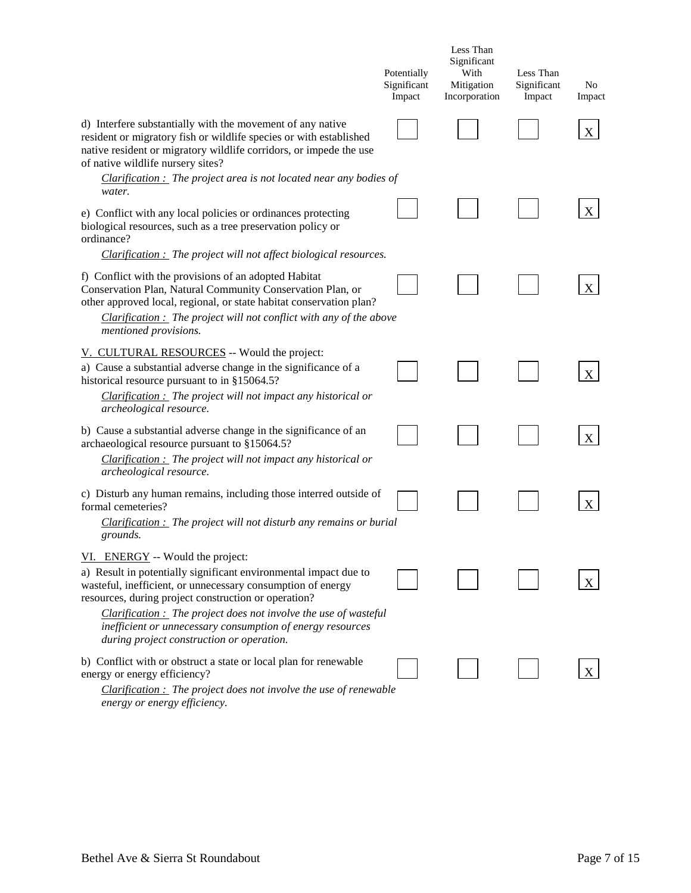|                                                                                                                                                                                                                                                                                             | Potentially<br>Significant<br>Impact | Less Than<br>Significant<br>With<br>Mitigation<br>Incorporation | Less Than<br>Significant<br>Impact | No<br>Impact |
|---------------------------------------------------------------------------------------------------------------------------------------------------------------------------------------------------------------------------------------------------------------------------------------------|--------------------------------------|-----------------------------------------------------------------|------------------------------------|--------------|
| d) Interfere substantially with the movement of any native<br>resident or migratory fish or wildlife species or with established<br>native resident or migratory wildlife corridors, or impede the use<br>of native wildlife nursery sites?                                                 |                                      |                                                                 |                                    |              |
| <i>Clarification</i> : The project area is not located near any bodies of<br>water.                                                                                                                                                                                                         |                                      |                                                                 |                                    |              |
| e) Conflict with any local policies or ordinances protecting<br>biological resources, such as a tree preservation policy or<br>ordinance?                                                                                                                                                   |                                      |                                                                 |                                    | X            |
| $Clarification:$ The project will not affect biological resources.                                                                                                                                                                                                                          |                                      |                                                                 |                                    |              |
| f) Conflict with the provisions of an adopted Habitat<br>Conservation Plan, Natural Community Conservation Plan, or<br>other approved local, regional, or state habitat conservation plan?<br>$Clarification:$ The project will not conflict with any of the above<br>mentioned provisions. |                                      |                                                                 |                                    |              |
| V. CULTURAL RESOURCES -- Would the project:                                                                                                                                                                                                                                                 |                                      |                                                                 |                                    |              |
| a) Cause a substantial adverse change in the significance of a<br>historical resource pursuant to in §15064.5?                                                                                                                                                                              |                                      |                                                                 |                                    |              |
| $Clarification:$ The project will not impact any historical or<br>archeological resource.                                                                                                                                                                                                   |                                      |                                                                 |                                    |              |
| b) Cause a substantial adverse change in the significance of an<br>archaeological resource pursuant to §15064.5?                                                                                                                                                                            |                                      |                                                                 |                                    | X            |
| $Clarification:$ The project will not impact any historical or<br>archeological resource.                                                                                                                                                                                                   |                                      |                                                                 |                                    |              |
| c) Disturb any human remains, including those interred outside of<br>formal cemeteries?                                                                                                                                                                                                     |                                      |                                                                 |                                    | X            |
| $Clarification:$ The project will not disturb any remains or burial<br>grounds.                                                                                                                                                                                                             |                                      |                                                                 |                                    |              |
| VI. ENERGY -- Would the project:                                                                                                                                                                                                                                                            |                                      |                                                                 |                                    |              |
| a) Result in potentially significant environmental impact due to<br>wasteful, inefficient, or unnecessary consumption of energy<br>resources, during project construction or operation?                                                                                                     |                                      |                                                                 |                                    |              |
| $Clarification:$ The project does not involve the use of wasteful<br>inefficient or unnecessary consumption of energy resources<br>during project construction or operation.                                                                                                                |                                      |                                                                 |                                    |              |
| b) Conflict with or obstruct a state or local plan for renewable<br>energy or energy efficiency?                                                                                                                                                                                            |                                      |                                                                 |                                    |              |
| $Clarification:$ The project does not involve the use of renewable                                                                                                                                                                                                                          |                                      |                                                                 |                                    |              |

*energy or energy efficiency.*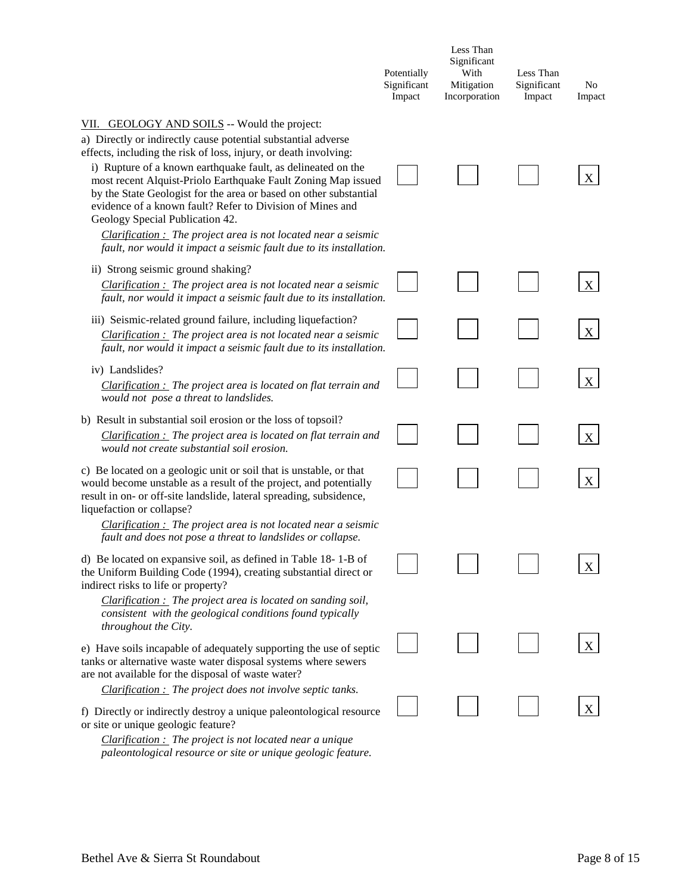|                                                                                                                                                                                                                                                                                                                                                                                                                                                                                                                                                                                                                                   | Potentially<br>Significant<br>Impact | Less Than<br>Significant<br>With<br>Mitigation<br>Incorporation | Less Than<br>Significant<br>Impact | N <sub>0</sub><br>Impact |
|-----------------------------------------------------------------------------------------------------------------------------------------------------------------------------------------------------------------------------------------------------------------------------------------------------------------------------------------------------------------------------------------------------------------------------------------------------------------------------------------------------------------------------------------------------------------------------------------------------------------------------------|--------------------------------------|-----------------------------------------------------------------|------------------------------------|--------------------------|
| VII. GEOLOGY AND SOILS -- Would the project:<br>a) Directly or indirectly cause potential substantial adverse<br>effects, including the risk of loss, injury, or death involving:<br>i) Rupture of a known earthquake fault, as delineated on the<br>most recent Alquist-Priolo Earthquake Fault Zoning Map issued<br>by the State Geologist for the area or based on other substantial<br>evidence of a known fault? Refer to Division of Mines and<br>Geology Special Publication 42.<br>$Clarification:$ The project area is not located near a seismic<br>fault, nor would it impact a seismic fault due to its installation. |                                      |                                                                 |                                    | X                        |
| ii) Strong seismic ground shaking?<br>$Clarification:$ The project area is not located near a seismic<br>fault, nor would it impact a seismic fault due to its installation.                                                                                                                                                                                                                                                                                                                                                                                                                                                      |                                      |                                                                 |                                    | X                        |
| iii) Seismic-related ground failure, including liquefaction?<br>$Clarification:$ The project area is not located near a seismic<br>fault, nor would it impact a seismic fault due to its installation.                                                                                                                                                                                                                                                                                                                                                                                                                            |                                      |                                                                 |                                    | X                        |
| iv) Landslides?<br>$Clarification:$ The project area is located on flat terrain and<br>would not pose a threat to landslides.                                                                                                                                                                                                                                                                                                                                                                                                                                                                                                     |                                      |                                                                 |                                    | $\boldsymbol{X}$         |
| b) Result in substantial soil erosion or the loss of topsoil?<br>$Clarification:$ The project area is located on flat terrain and<br>would not create substantial soil erosion.                                                                                                                                                                                                                                                                                                                                                                                                                                                   |                                      |                                                                 |                                    | X                        |
| c) Be located on a geologic unit or soil that is unstable, or that<br>would become unstable as a result of the project, and potentially<br>result in on- or off-site landslide, lateral spreading, subsidence,<br>liquefaction or collapse?<br>$Clarification:$ The project area is not located near a seismic                                                                                                                                                                                                                                                                                                                    |                                      |                                                                 |                                    | X                        |
| fault and does not pose a threat to landslides or collapse.<br>d) Be located on expansive soil, as defined in Table 18-1-B of<br>the Uniform Building Code (1994), creating substantial direct or<br>indirect risks to life or property?<br>$Clarification:$ The project area is located on sanding soil,<br>consistent with the geological conditions found typically                                                                                                                                                                                                                                                            |                                      |                                                                 |                                    |                          |
| throughout the City.<br>e) Have soils incapable of adequately supporting the use of septic<br>tanks or alternative waste water disposal systems where sewers<br>are not available for the disposal of waste water?                                                                                                                                                                                                                                                                                                                                                                                                                |                                      |                                                                 |                                    |                          |
| $Clarification:$ The project does not involve septic tanks.<br>f) Directly or indirectly destroy a unique paleontological resource<br>or site or unique geologic feature?<br>$Clarification:$ The project is not located near a unique<br>paleontological resource or site or unique geologic feature.                                                                                                                                                                                                                                                                                                                            |                                      |                                                                 |                                    | X                        |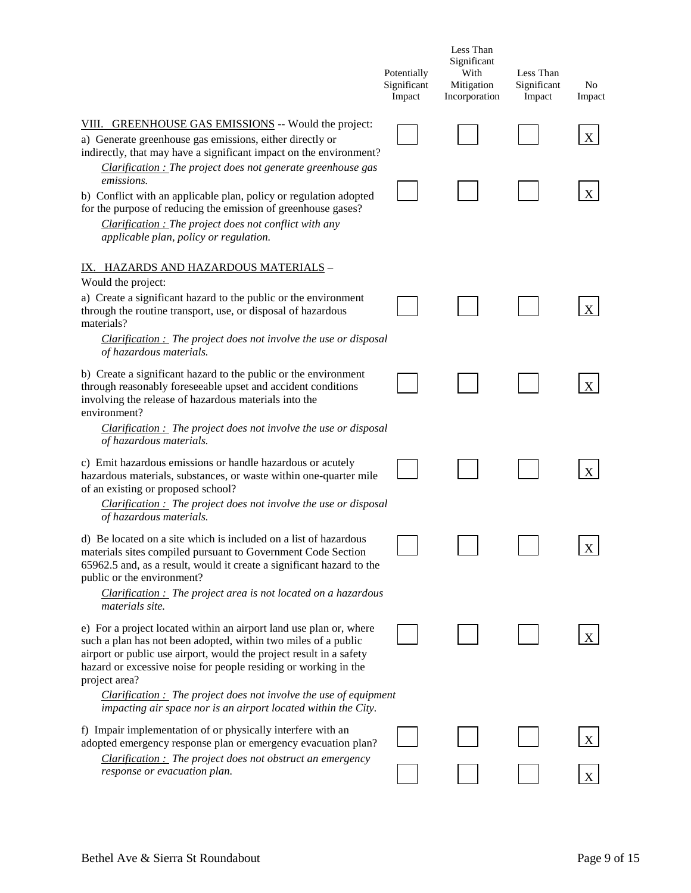|                                                                                                                                                                                                                                                                                                                                                                                            | Potentially<br>Significant<br>Impact | Less Than<br>Significant<br>With<br>Mitigation<br>Incorporation | Less Than<br>Significant<br>Impact | N <sub>0</sub><br>Impact |
|--------------------------------------------------------------------------------------------------------------------------------------------------------------------------------------------------------------------------------------------------------------------------------------------------------------------------------------------------------------------------------------------|--------------------------------------|-----------------------------------------------------------------|------------------------------------|--------------------------|
| VIII. GREENHOUSE GAS EMISSIONS -- Would the project:<br>a) Generate greenhouse gas emissions, either directly or                                                                                                                                                                                                                                                                           |                                      |                                                                 |                                    | Χ                        |
| indirectly, that may have a significant impact on the environment?<br>Clarification : The project does not generate greenhouse gas<br>emissions.<br>b) Conflict with an applicable plan, policy or regulation adopted<br>for the purpose of reducing the emission of greenhouse gases?<br>Clarification : The project does not conflict with any<br>applicable plan, policy or regulation. |                                      |                                                                 |                                    | X                        |
| <u>IX. HAZARDS AND HAZARDOUS MATERIALS -</u>                                                                                                                                                                                                                                                                                                                                               |                                      |                                                                 |                                    |                          |
| Would the project:<br>a) Create a significant hazard to the public or the environment<br>through the routine transport, use, or disposal of hazardous<br>materials?                                                                                                                                                                                                                        |                                      |                                                                 |                                    | X                        |
| $Clarification:$ The project does not involve the use or disposal<br>of hazardous materials.                                                                                                                                                                                                                                                                                               |                                      |                                                                 |                                    |                          |
| b) Create a significant hazard to the public or the environment<br>through reasonably foreseeable upset and accident conditions<br>involving the release of hazardous materials into the<br>environment?                                                                                                                                                                                   |                                      |                                                                 |                                    | X                        |
| <i>Clarification</i> : The project does not involve the use or disposal<br>of hazardous materials.                                                                                                                                                                                                                                                                                         |                                      |                                                                 |                                    |                          |
| c) Emit hazardous emissions or handle hazardous or acutely<br>hazardous materials, substances, or waste within one-quarter mile<br>of an existing or proposed school?                                                                                                                                                                                                                      |                                      |                                                                 |                                    | X                        |
| $Clarification:$ The project does not involve the use or disposal<br>of hazardous materials.                                                                                                                                                                                                                                                                                               |                                      |                                                                 |                                    |                          |
| d) Be located on a site which is included on a list of hazardous<br>materials sites compiled pursuant to Government Code Section<br>65962.5 and, as a result, would it create a significant hazard to the<br>public or the environment?<br>Clarification : The project area is not located on a hazardous                                                                                  |                                      |                                                                 |                                    | $\bf{X}$                 |
| materials site.                                                                                                                                                                                                                                                                                                                                                                            |                                      |                                                                 |                                    |                          |
| e) For a project located within an airport land use plan or, where<br>such a plan has not been adopted, within two miles of a public<br>airport or public use airport, would the project result in a safety<br>hazard or excessive noise for people residing or working in the<br>project area?                                                                                            |                                      |                                                                 |                                    |                          |
| $Clarification:$ The project does not involve the use of equipment<br>impacting air space nor is an airport located within the City.                                                                                                                                                                                                                                                       |                                      |                                                                 |                                    |                          |
| f) Impair implementation of or physically interfere with an<br>adopted emergency response plan or emergency evacuation plan?<br>$Clarification:$ The project does not obstruct an emergency                                                                                                                                                                                                |                                      |                                                                 |                                    | X                        |
| response or evacuation plan.                                                                                                                                                                                                                                                                                                                                                               |                                      |                                                                 |                                    |                          |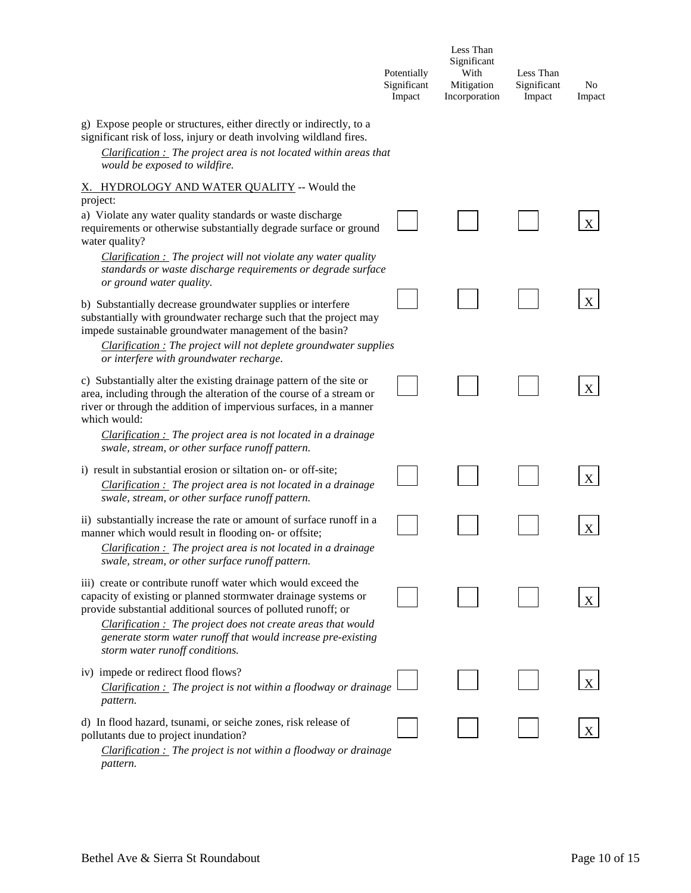|                                                                                                                                                                                                                                                                                                                                                                    | Potentially<br>Significant<br>Impact | Less Than<br>Significant<br>With<br>Mitigation<br>Incorporation | Less Than<br>Significant<br>Impact | No<br>Impact |
|--------------------------------------------------------------------------------------------------------------------------------------------------------------------------------------------------------------------------------------------------------------------------------------------------------------------------------------------------------------------|--------------------------------------|-----------------------------------------------------------------|------------------------------------|--------------|
| g) Expose people or structures, either directly or indirectly, to a<br>significant risk of loss, injury or death involving wildland fires.<br>$Clarification:$ The project area is not located within areas that<br>would be exposed to wildfire.                                                                                                                  |                                      |                                                                 |                                    |              |
| X. HYDROLOGY AND WATER QUALITY -- Would the                                                                                                                                                                                                                                                                                                                        |                                      |                                                                 |                                    |              |
| project:<br>a) Violate any water quality standards or waste discharge<br>requirements or otherwise substantially degrade surface or ground<br>water quality?                                                                                                                                                                                                       |                                      |                                                                 |                                    |              |
| $Clarification:$ The project will not violate any water quality<br>standards or waste discharge requirements or degrade surface                                                                                                                                                                                                                                    |                                      |                                                                 |                                    |              |
| or ground water quality.<br>b) Substantially decrease groundwater supplies or interfere<br>substantially with groundwater recharge such that the project may<br>impede sustainable groundwater management of the basin?                                                                                                                                            |                                      |                                                                 |                                    | X            |
| $Clarification:$ The project will not deplete groundwater supplies<br>or interfere with groundwater recharge.                                                                                                                                                                                                                                                      |                                      |                                                                 |                                    |              |
| c) Substantially alter the existing drainage pattern of the site or<br>area, including through the alteration of the course of a stream or<br>river or through the addition of impervious surfaces, in a manner<br>which would:                                                                                                                                    |                                      |                                                                 |                                    | X            |
| $Clarification:$ The project area is not located in a drainage<br>swale, stream, or other surface runoff pattern.                                                                                                                                                                                                                                                  |                                      |                                                                 |                                    |              |
| i) result in substantial erosion or siltation on- or off-site;                                                                                                                                                                                                                                                                                                     |                                      |                                                                 |                                    |              |
| $Clarification:$ The project area is not located in a drainage<br>swale, stream, or other surface runoff pattern.                                                                                                                                                                                                                                                  |                                      |                                                                 |                                    |              |
| ii) substantially increase the rate or amount of surface runoff in a<br>manner which would result in flooding on- or offsite;<br>Clarification : The project area is not located in a drainage<br>swale, stream, or other surface runoff pattern.                                                                                                                  |                                      |                                                                 |                                    | X            |
| iii) create or contribute runoff water which would exceed the<br>capacity of existing or planned stormwater drainage systems or<br>provide substantial additional sources of polluted runoff; or<br>Clarification : The project does not create areas that would<br>generate storm water runoff that would increase pre-existing<br>storm water runoff conditions. |                                      |                                                                 |                                    |              |
| iv) impede or redirect flood flows?<br>$Clarification:$ The project is not within a floodway or drainage<br>pattern.                                                                                                                                                                                                                                               |                                      |                                                                 |                                    | X            |
| d) In flood hazard, tsunami, or seiche zones, risk release of<br>pollutants due to project inundation?<br><i>Clarification</i> : The project is not within a floodway or drainage<br>pattern.                                                                                                                                                                      |                                      |                                                                 |                                    |              |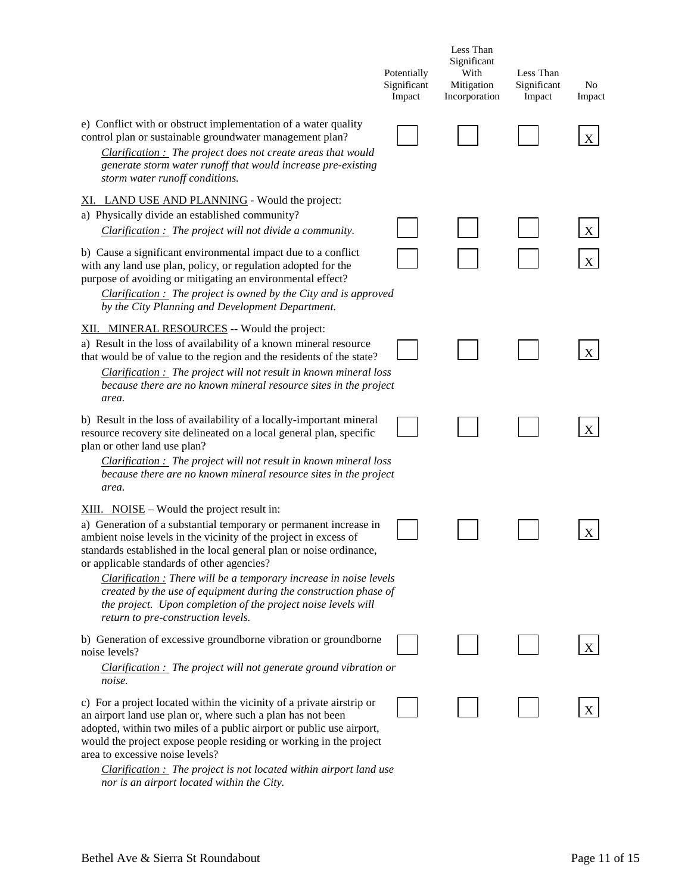|                                                                                                                                                                                                                                                                                                                                                                                                                                                                                                                                                             | Potentially<br>Significant<br>Impact | Less Than<br>Significant<br>With<br>Mitigation<br>Incorporation | Less Than<br>Significant<br>Impact | No<br>Impact |
|-------------------------------------------------------------------------------------------------------------------------------------------------------------------------------------------------------------------------------------------------------------------------------------------------------------------------------------------------------------------------------------------------------------------------------------------------------------------------------------------------------------------------------------------------------------|--------------------------------------|-----------------------------------------------------------------|------------------------------------|--------------|
| e) Conflict with or obstruct implementation of a water quality<br>control plan or sustainable groundwater management plan?<br>Clarification : The project does not create areas that would<br>generate storm water runoff that would increase pre-existing<br>storm water runoff conditions.                                                                                                                                                                                                                                                                |                                      |                                                                 |                                    | X            |
| XI. LAND USE AND PLANNING - Would the project:<br>a) Physically divide an established community?<br>$Clarification:$ The project will not divide a community.                                                                                                                                                                                                                                                                                                                                                                                               |                                      |                                                                 |                                    | X            |
| b) Cause a significant environmental impact due to a conflict<br>with any land use plan, policy, or regulation adopted for the<br>purpose of avoiding or mitigating an environmental effect?<br><i>Clarification : The project is owned by the City and is approved</i><br>by the City Planning and Development Department.                                                                                                                                                                                                                                 |                                      |                                                                 |                                    |              |
| XII. MINERAL RESOURCES -- Would the project:<br>a) Result in the loss of availability of a known mineral resource<br>that would be of value to the region and the residents of the state?<br>$Clarification:$ The project will not result in known mineral loss<br>because there are no known mineral resource sites in the project<br>area.                                                                                                                                                                                                                |                                      |                                                                 |                                    | X            |
| b) Result in the loss of availability of a locally-important mineral<br>resource recovery site delineated on a local general plan, specific<br>plan or other land use plan?<br>$Clarification:$ The project will not result in known mineral loss<br>because there are no known mineral resource sites in the project<br>area.                                                                                                                                                                                                                              |                                      |                                                                 |                                    | X            |
| $XIII.$ NOISE – Would the project result in:<br>a) Generation of a substantial temporary or permanent increase in<br>ambient noise levels in the vicinity of the project in excess of<br>standards established in the local general plan or noise ordinance,<br>or applicable standards of other agencies?<br>Clarification : There will be a temporary increase in noise levels<br>created by the use of equipment during the construction phase of<br>the project. Upon completion of the project noise levels will<br>return to pre-construction levels. |                                      |                                                                 |                                    | X            |
| b) Generation of excessive groundborne vibration or groundborne<br>noise levels?<br>$Clarification:$ The project will not generate ground vibration or<br>noise.                                                                                                                                                                                                                                                                                                                                                                                            |                                      |                                                                 |                                    |              |
| c) For a project located within the vicinity of a private airstrip or<br>an airport land use plan or, where such a plan has not been<br>adopted, within two miles of a public airport or public use airport,<br>would the project expose people residing or working in the project<br>area to excessive noise levels?                                                                                                                                                                                                                                       |                                      |                                                                 |                                    | X            |

*Clarification : The project is not located within airport land use nor is an airport located within the City.*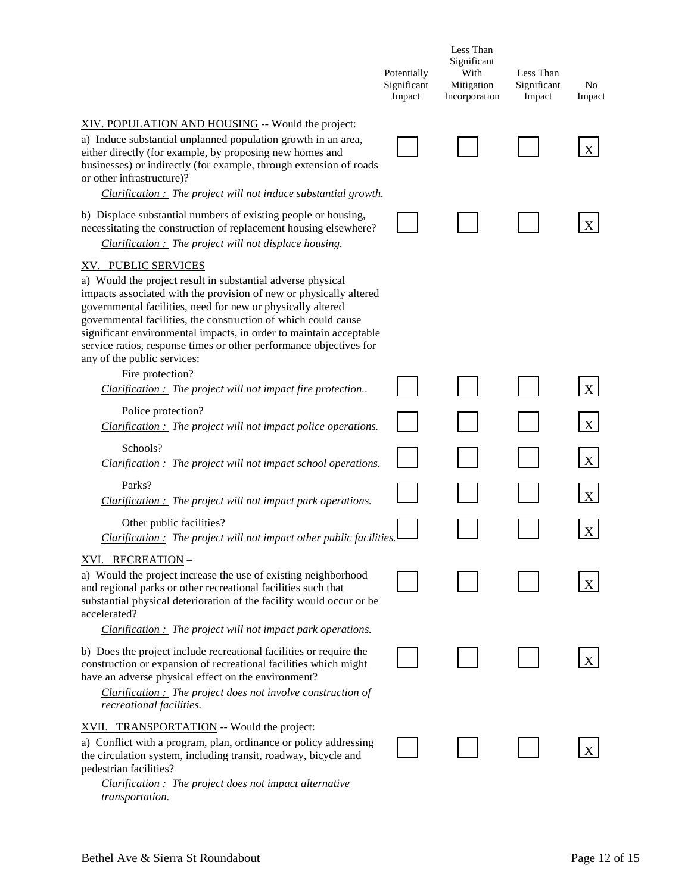|                                                                                                                                                                                                                                                                                                                                                                                                                                                                      | Potentially<br>Significant<br>Impact | Less Than<br>Significant<br>With<br>Mitigation<br>Incorporation | Less Than<br>Significant<br>Impact | No<br>Impact |
|----------------------------------------------------------------------------------------------------------------------------------------------------------------------------------------------------------------------------------------------------------------------------------------------------------------------------------------------------------------------------------------------------------------------------------------------------------------------|--------------------------------------|-----------------------------------------------------------------|------------------------------------|--------------|
| XIV. POPULATION AND HOUSING -- Would the project:<br>a) Induce substantial unplanned population growth in an area,<br>either directly (for example, by proposing new homes and<br>businesses) or indirectly (for example, through extension of roads<br>or other infrastructure)?<br>$Clarification:$ The project will not induce substantial growth.                                                                                                                |                                      |                                                                 |                                    | X            |
| b) Displace substantial numbers of existing people or housing,<br>necessitating the construction of replacement housing elsewhere?<br>$Clarification:$ The project will not displace housing.                                                                                                                                                                                                                                                                        |                                      |                                                                 |                                    |              |
| XV. PUBLIC SERVICES<br>a) Would the project result in substantial adverse physical<br>impacts associated with the provision of new or physically altered<br>governmental facilities, need for new or physically altered<br>governmental facilities, the construction of which could cause<br>significant environmental impacts, in order to maintain acceptable<br>service ratios, response times or other performance objectives for<br>any of the public services: |                                      |                                                                 |                                    |              |
| Fire protection?<br>Clarification : The project will not impact fire protection                                                                                                                                                                                                                                                                                                                                                                                      |                                      |                                                                 |                                    | X            |
| Police protection?<br>$Clarification:$ The project will not impact police operations.                                                                                                                                                                                                                                                                                                                                                                                |                                      |                                                                 |                                    | X            |
| Schools?<br><b>Clarification :</b> The project will not impact school operations.                                                                                                                                                                                                                                                                                                                                                                                    |                                      |                                                                 |                                    | X            |
| Parks?                                                                                                                                                                                                                                                                                                                                                                                                                                                               |                                      |                                                                 |                                    | X            |
| <b>Clarification :</b> The project will not impact park operations.<br>Other public facilities?<br>$Clarification:$ The project will not impact other public facilities.                                                                                                                                                                                                                                                                                             |                                      |                                                                 |                                    | X            |
| <u>XVI. RECREATION</u> -<br>a) Would the project increase the use of existing neighborhood<br>and regional parks or other recreational facilities such that<br>substantial physical deterioration of the facility would occur or be<br>accelerated?                                                                                                                                                                                                                  |                                      |                                                                 |                                    |              |
| $Clarification:$ The project will not impact park operations.<br>b) Does the project include recreational facilities or require the<br>construction or expansion of recreational facilities which might<br>have an adverse physical effect on the environment?                                                                                                                                                                                                       |                                      |                                                                 |                                    |              |
| $Clarification:$ The project does not involve construction of<br>recreational facilities.                                                                                                                                                                                                                                                                                                                                                                            |                                      |                                                                 |                                    |              |
| XVII. TRANSPORTATION -- Would the project:<br>a) Conflict with a program, plan, ordinance or policy addressing<br>the circulation system, including transit, roadway, bicycle and<br>pedestrian facilities?<br>$Clarification:$ The project does not impact alternative                                                                                                                                                                                              |                                      |                                                                 |                                    |              |
| transportation.                                                                                                                                                                                                                                                                                                                                                                                                                                                      |                                      |                                                                 |                                    |              |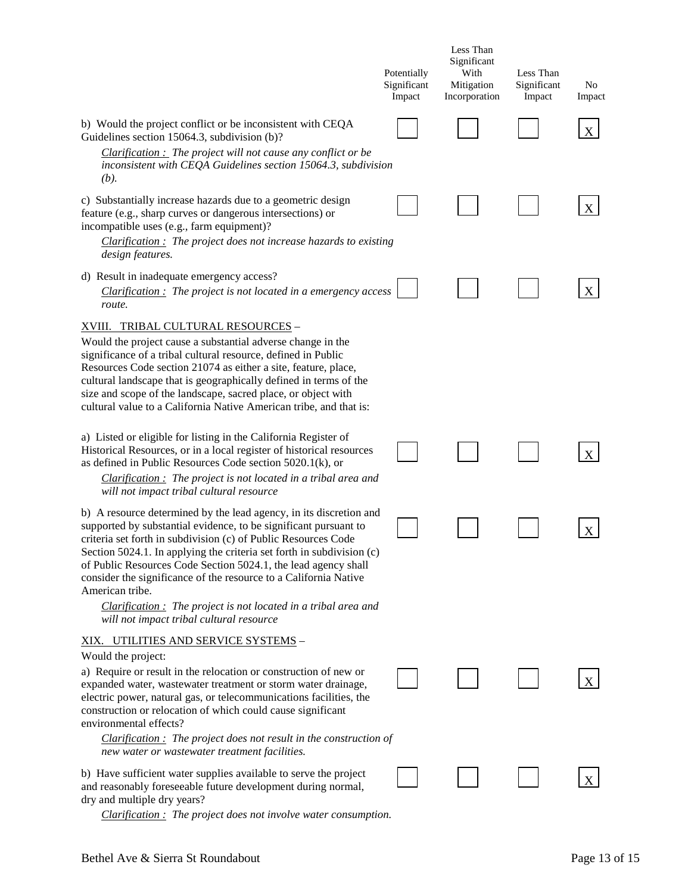|                                                                                                                                                                                                                                                                                                                                                                                                                                                                                                                                                                             | Potentially<br>Significant<br>Impact | Less Than<br>Significant<br>With<br>Mitigation<br>Incorporation | Less Than<br>Significant<br>Impact | N <sub>0</sub><br>Impact |
|-----------------------------------------------------------------------------------------------------------------------------------------------------------------------------------------------------------------------------------------------------------------------------------------------------------------------------------------------------------------------------------------------------------------------------------------------------------------------------------------------------------------------------------------------------------------------------|--------------------------------------|-----------------------------------------------------------------|------------------------------------|--------------------------|
| b) Would the project conflict or be inconsistent with CEQA<br>Guidelines section 15064.3, subdivision (b)?<br>Clarification : The project will not cause any conflict or be                                                                                                                                                                                                                                                                                                                                                                                                 |                                      |                                                                 |                                    | X                        |
| inconsistent with CEQA Guidelines section 15064.3, subdivision<br>(b).                                                                                                                                                                                                                                                                                                                                                                                                                                                                                                      |                                      |                                                                 |                                    |                          |
| c) Substantially increase hazards due to a geometric design<br>feature (e.g., sharp curves or dangerous intersections) or<br>incompatible uses (e.g., farm equipment)?<br>$Clarification:$ The project does not increase hazards to existing<br>design features.                                                                                                                                                                                                                                                                                                            |                                      |                                                                 |                                    | X                        |
| d) Result in inadequate emergency access?<br>Clarification: The project is not located in a emergency access<br>route.                                                                                                                                                                                                                                                                                                                                                                                                                                                      |                                      |                                                                 |                                    |                          |
| XVIII. TRIBAL CULTURAL RESOURCES -<br>Would the project cause a substantial adverse change in the<br>significance of a tribal cultural resource, defined in Public<br>Resources Code section 21074 as either a site, feature, place,<br>cultural landscape that is geographically defined in terms of the<br>size and scope of the landscape, sacred place, or object with<br>cultural value to a California Native American tribe, and that is:                                                                                                                            |                                      |                                                                 |                                    |                          |
| a) Listed or eligible for listing in the California Register of<br>Historical Resources, or in a local register of historical resources<br>as defined in Public Resources Code section 5020.1(k), or<br>$Clarification:$ The project is not located in a tribal area and<br>will not impact tribal cultural resource                                                                                                                                                                                                                                                        |                                      |                                                                 |                                    | X                        |
| b) A resource determined by the lead agency, in its discretion and<br>supported by substantial evidence, to be significant pursuant to<br>criteria set forth in subdivision (c) of Public Resources Code<br>Section 5024.1. In applying the criteria set forth in subdivision (c)<br>of Public Resources Code Section 5024.1, the lead agency shall<br>consider the significance of the resource to a California Native<br>American tribe.<br><i>Clarification</i> $\therefore$ The project is not located in a tribal area and<br>will not impact tribal cultural resource |                                      |                                                                 |                                    | X                        |
| <u>XIX. UTILITIES AND SERVICE SYSTEMS</u> -<br>Would the project:                                                                                                                                                                                                                                                                                                                                                                                                                                                                                                           |                                      |                                                                 |                                    |                          |
| a) Require or result in the relocation or construction of new or<br>expanded water, wastewater treatment or storm water drainage,<br>electric power, natural gas, or telecommunications facilities, the<br>construction or relocation of which could cause significant<br>environmental effects?                                                                                                                                                                                                                                                                            |                                      |                                                                 |                                    | X                        |
| $Clarification:$ The project does not result in the construction of<br>new water or wastewater treatment facilities.                                                                                                                                                                                                                                                                                                                                                                                                                                                        |                                      |                                                                 |                                    |                          |
| b) Have sufficient water supplies available to serve the project<br>and reasonably foreseeable future development during normal,<br>dry and multiple dry years?                                                                                                                                                                                                                                                                                                                                                                                                             |                                      |                                                                 |                                    | X                        |

*Clarification : The project does not involve water consumption.*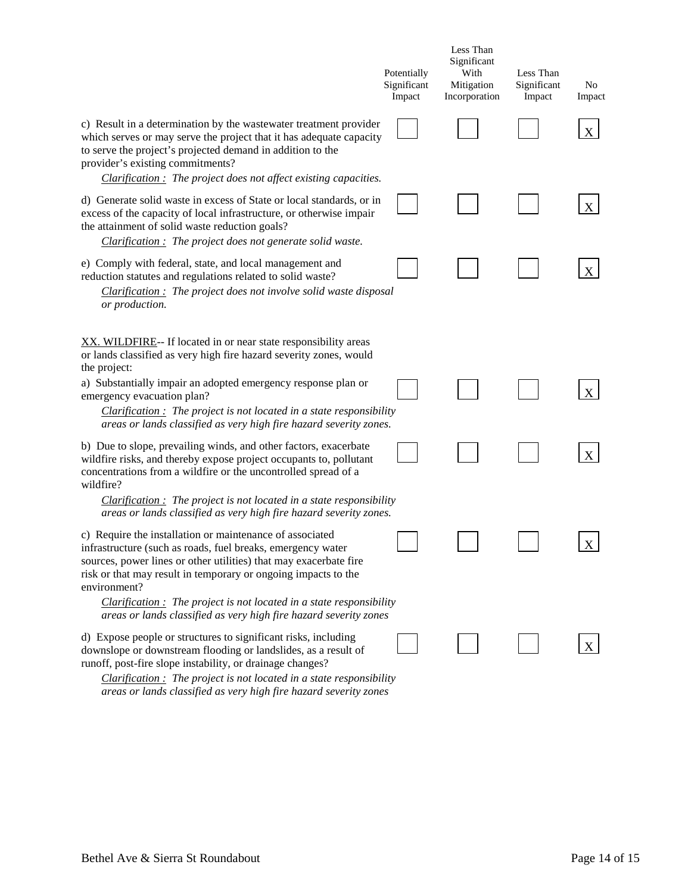| Potentially<br>Significant<br>Impact                                                                                                                                                                          | Less Than<br>Significant<br>With<br>Mitigation<br>Incorporation       | Less Than<br>Significant<br>Impact | No<br>Impact |
|---------------------------------------------------------------------------------------------------------------------------------------------------------------------------------------------------------------|-----------------------------------------------------------------------|------------------------------------|--------------|
| c) Result in a determination by the wastewater treatment provider<br>which serves or may serve the project that it has adequate capacity<br>$Clarification:$ The project does not affect existing capacities. |                                                                       |                                    |              |
| d) Generate solid waste in excess of State or local standards, or in<br>excess of the capacity of local infrastructure, or otherwise impair                                                                   |                                                                       |                                    | X            |
| Clarification: The project does not involve solid waste disposal                                                                                                                                              |                                                                       |                                    | X            |
|                                                                                                                                                                                                               |                                                                       |                                    |              |
| $Clarification:$ The project is not located in a state responsibility<br>areas or lands classified as very high fire hazard severity zones.                                                                   |                                                                       |                                    |              |
| $Clarification:$ The project is not located in a state responsibility                                                                                                                                         |                                                                       |                                    | X            |
| areas or lands classified as very high fire hazard severity zones.                                                                                                                                            |                                                                       |                                    | X            |
| $Clarification:$ The project is not located in a state responsibility<br>areas or lands classified as very high fire hazard severity zones                                                                    |                                                                       |                                    |              |
|                                                                                                                                                                                                               | $Clarification:$ The project is not located in a state responsibility |                                    |              |

*areas or lands classified as very high fire hazard severity zones*